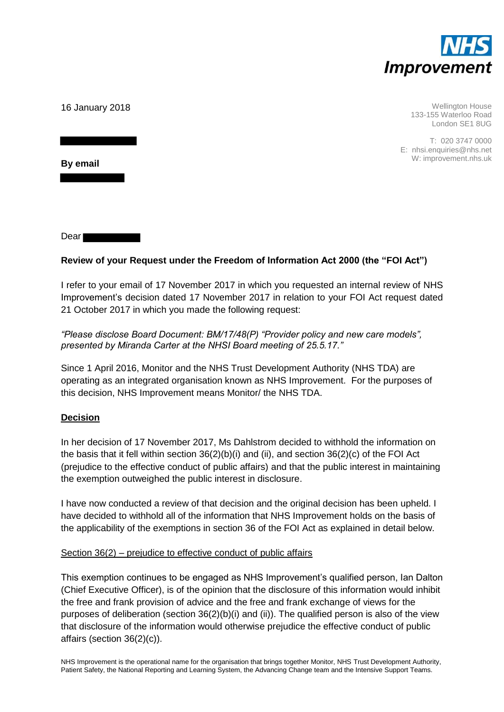

16 January 2018

Wellington House 133-155 Waterloo Road London SE1 8UG

T: 020 3747 0000 E: nhsi.enquiries@nhs.net W: improvement.nhs.uk

**By email** 

Dear

# **Review of your Request under the Freedom of Information Act 2000 (the "FOI Act")**

I refer to your email of 17 November 2017 in which you requested an internal review of NHS Improvement's decision dated 17 November 2017 in relation to your FOI Act request dated 21 October 2017 in which you made the following request:

*"Please disclose Board Document: BM/17/48(P) "Provider policy and new care models", presented by Miranda Carter at the NHSI Board meeting of 25.5.17."*

Since 1 April 2016, Monitor and the NHS Trust Development Authority (NHS TDA) are operating as an integrated organisation known as NHS Improvement. For the purposes of this decision, NHS Improvement means Monitor/ the NHS TDA.

## **Decision**

In her decision of 17 November 2017, Ms Dahlstrom decided to withhold the information on the basis that it fell within section 36(2)(b)(i) and (ii), and section 36(2)(c) of the FOI Act (prejudice to the effective conduct of public affairs) and that the public interest in maintaining the exemption outweighed the public interest in disclosure.

I have now conducted a review of that decision and the original decision has been upheld. I have decided to withhold all of the information that NHS Improvement holds on the basis of the applicability of the exemptions in section 36 of the FOI Act as explained in detail below.

## Section 36(2) – prejudice to effective conduct of public affairs

This exemption continues to be engaged as NHS Improvement's qualified person, Ian Dalton (Chief Executive Officer), is of the opinion that the disclosure of this information would inhibit the free and frank provision of advice and the free and frank exchange of views for the purposes of deliberation (section 36(2)(b)(i) and (ii)). The qualified person is also of the view that disclosure of the information would otherwise prejudice the effective conduct of public affairs (section 36(2)(c)).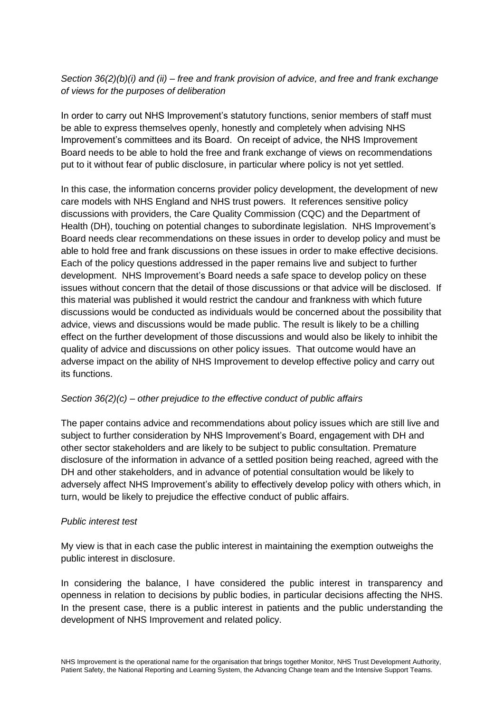## *Section 36(2)(b)(i) and (ii) – free and frank provision of advice, and free and frank exchange of views for the purposes of deliberation*

In order to carry out NHS Improvement's statutory functions, senior members of staff must be able to express themselves openly, honestly and completely when advising NHS Improvement's committees and its Board. On receipt of advice, the NHS Improvement Board needs to be able to hold the free and frank exchange of views on recommendations put to it without fear of public disclosure, in particular where policy is not yet settled.

In this case, the information concerns provider policy development, the development of new care models with NHS England and NHS trust powers. It references sensitive policy discussions with providers, the Care Quality Commission (CQC) and the Department of Health (DH), touching on potential changes to subordinate legislation. NHS Improvement's Board needs clear recommendations on these issues in order to develop policy and must be able to hold free and frank discussions on these issues in order to make effective decisions. Each of the policy questions addressed in the paper remains live and subject to further development. NHS Improvement's Board needs a safe space to develop policy on these issues without concern that the detail of those discussions or that advice will be disclosed. If this material was published it would restrict the candour and frankness with which future discussions would be conducted as individuals would be concerned about the possibility that advice, views and discussions would be made public. The result is likely to be a chilling effect on the further development of those discussions and would also be likely to inhibit the quality of advice and discussions on other policy issues. That outcome would have an adverse impact on the ability of NHS Improvement to develop effective policy and carry out its functions.

# *Section 36(2)(c) – other prejudice to the effective conduct of public affairs*

The paper contains advice and recommendations about policy issues which are still live and subject to further consideration by NHS Improvement's Board, engagement with DH and other sector stakeholders and are likely to be subject to public consultation. Premature disclosure of the information in advance of a settled position being reached, agreed with the DH and other stakeholders, and in advance of potential consultation would be likely to adversely affect NHS Improvement's ability to effectively develop policy with others which, in turn, would be likely to prejudice the effective conduct of public affairs.

## *Public interest test*

My view is that in each case the public interest in maintaining the exemption outweighs the public interest in disclosure.

In considering the balance, I have considered the public interest in transparency and openness in relation to decisions by public bodies, in particular decisions affecting the NHS. In the present case, there is a public interest in patients and the public understanding the development of NHS Improvement and related policy.